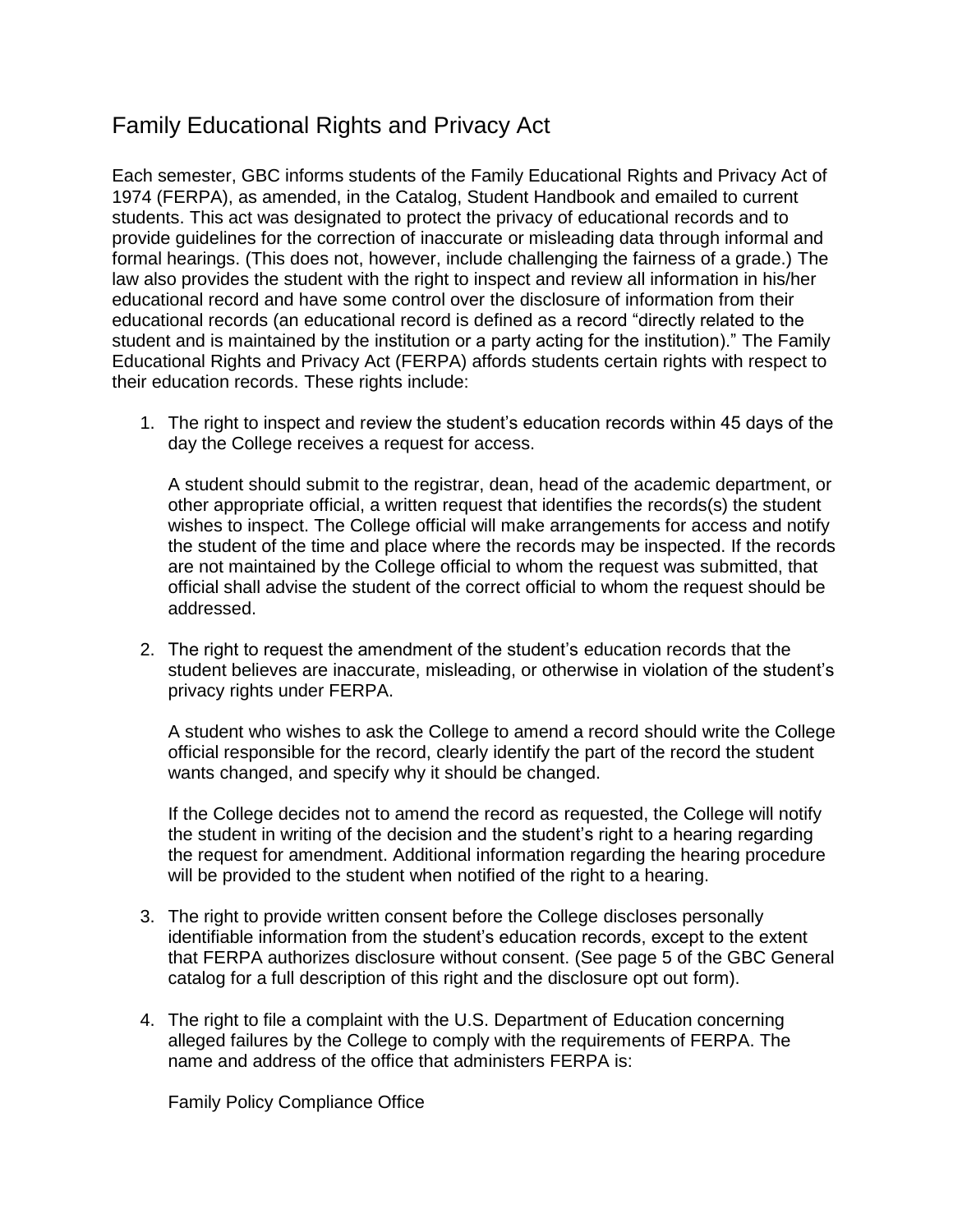## Family Educational Rights and Privacy Act

Each semester, GBC informs students of the Family Educational Rights and Privacy Act of 1974 (FERPA), as amended, in the Catalog, Student Handbook and emailed to current students. This act was designated to protect the privacy of educational records and to provide guidelines for the correction of inaccurate or misleading data through informal and formal hearings. (This does not, however, include challenging the fairness of a grade.) The law also provides the student with the right to inspect and review all information in his/her educational record and have some control over the disclosure of information from their educational records (an educational record is defined as a record "directly related to the student and is maintained by the institution or a party acting for the institution)." The Family Educational Rights and Privacy Act (FERPA) affords students certain rights with respect to their education records. These rights include:

1. The right to inspect and review the student's education records within 45 days of the day the College receives a request for access.

A student should submit to the registrar, dean, head of the academic department, or other appropriate official, a written request that identifies the records(s) the student wishes to inspect. The College official will make arrangements for access and notify the student of the time and place where the records may be inspected. If the records are not maintained by the College official to whom the request was submitted, that official shall advise the student of the correct official to whom the request should be addressed.

2. The right to request the amendment of the student's education records that the student believes are inaccurate, misleading, or otherwise in violation of the student's privacy rights under FERPA.

A student who wishes to ask the College to amend a record should write the College official responsible for the record, clearly identify the part of the record the student wants changed, and specify why it should be changed.

If the College decides not to amend the record as requested, the College will notify the student in writing of the decision and the student's right to a hearing regarding the request for amendment. Additional information regarding the hearing procedure will be provided to the student when notified of the right to a hearing.

- 3. The right to provide written consent before the College discloses personally identifiable information from the student's education records, except to the extent that FERPA authorizes disclosure without consent. (See page 5 of the GBC General catalog for a full description of this right and the disclosure opt out form).
- 4. The right to file a complaint with the U.S. Department of Education concerning alleged failures by the College to comply with the requirements of FERPA. The name and address of the office that administers FERPA is:

Family Policy Compliance Office